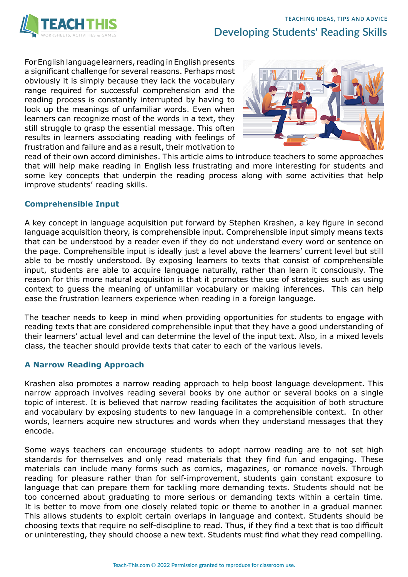

For English language learners, reading in English presents a significant challenge for several reasons. Perhaps most obviously it is simply because they lack the vocabulary range required for successful comprehension and the reading process is constantly interrupted by having to look up the meanings of unfamiliar words. Even when learners can recognize most of the words in a text, they still struggle to grasp the essential message. This often results in learners associating reading with feelings of frustration and failure and as a result, their motivation to



read of their own accord diminishes. This article aims to introduce teachers to some approaches that will help make reading in English less frustrating and more interesting for students and some key concepts that underpin the reading process along with some activities that help improve students' reading skills.

# **Comprehensible Input**

A key concept in language acquisition put forward by Stephen Krashen, a key figure in second language acquisition theory, is comprehensible input. Comprehensible input simply means texts that can be understood by a reader even if they do not understand every word or sentence on the page. Comprehensible input is ideally just a level above the learners' current level but still able to be mostly understood. By exposing learners to texts that consist of comprehensible input, students are able to acquire language naturally, rather than learn it consciously. The reason for this more natural acquisition is that it promotes the use of strategies such as using context to guess the meaning of unfamiliar vocabulary or making inferences. This can help ease the frustration learners experience when reading in a foreign language.

The teacher needs to keep in mind when providing opportunities for students to engage with reading texts that are considered comprehensible input that they have a good understanding of their learners' actual level and can determine the level of the input text. Also, in a mixed levels class, the teacher should provide texts that cater to each of the various levels.

# **A Narrow Reading Approach**

Krashen also promotes a narrow reading approach to help boost language development. This narrow approach involves reading several books by one author or several books on a single topic of interest. It is believed that narrow reading facilitates the acquisition of both structure and vocabulary by exposing students to new language in a comprehensible context. In other words, learners acquire new structures and words when they understand messages that they encode.

Some ways teachers can encourage students to adopt narrow reading are to not set high standards for themselves and only read materials that they find fun and engaging. These materials can include many forms such as comics, magazines, or romance novels. Through reading for pleasure rather than for self-improvement, students gain constant exposure to language that can prepare them for tackling more demanding texts. Students should not be too concerned about graduating to more serious or demanding texts within a certain time. It is better to move from one closely related topic or theme to another in a gradual manner. This allows students to exploit certain overlaps in language and context. Students should be choosing texts that require no self-discipline to read. Thus, if they find a text that is too difficult or uninteresting, they should choose a new text. Students must find what they read compelling.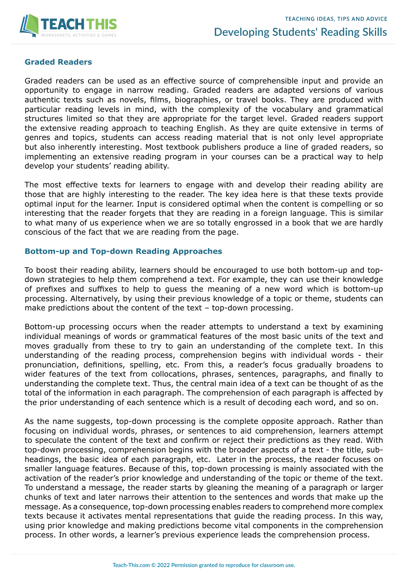

### **Graded Readers**

Graded readers can be used as an effective source of comprehensible input and provide an opportunity to engage in narrow reading. Graded readers are adapted versions of various authentic texts such as novels, films, biographies, or travel books. They are produced with particular reading levels in mind, with the complexity of the vocabulary and grammatical structures limited so that they are appropriate for the target level. Graded readers support the extensive reading approach to teaching English. As they are quite extensive in terms of genres and topics, students can access reading material that is not only level appropriate but also inherently interesting. Most textbook publishers produce a line of graded readers, so implementing an extensive reading program in your courses can be a practical way to help develop your students' reading ability.

The most effective texts for learners to engage with and develop their reading ability are those that are highly interesting to the reader. The key idea here is that these texts provide optimal input for the learner. Input is considered optimal when the content is compelling or so interesting that the reader forgets that they are reading in a foreign language. This is similar to what many of us experience when we are so totally engrossed in a book that we are hardly conscious of the fact that we are reading from the page.

### **Bottom-up and Top-down Reading Approaches**

To boost their reading ability, learners should be encouraged to use both bottom-up and topdown strategies to help them comprehend a text. For example, they can use their knowledge of prefixes and suffixes to help to guess the meaning of a new word which is bottom-up processing. Alternatively, by using their previous knowledge of a topic or theme, students can make predictions about the content of the text – top-down processing.

Bottom-up processing occurs when the reader attempts to understand a text by examining individual meanings of words or grammatical features of the most basic units of the text and moves gradually from these to try to gain an understanding of the complete text. In this understanding of the reading process, comprehension begins with individual words - their pronunciation, definitions, spelling, etc. From this, a reader's focus gradually broadens to wider features of the text from collocations, phrases, sentences, paragraphs, and finally to understanding the complete text. Thus, the central main idea of a text can be thought of as the total of the information in each paragraph. The comprehension of each paragraph is affected by the prior understanding of each sentence which is a result of decoding each word, and so on.

As the name suggests, top-down processing is the complete opposite approach. Rather than focusing on individual words, phrases, or sentences to aid comprehension, learners attempt to speculate the content of the text and confirm or reject their predictions as they read. With top-down processing, comprehension begins with the broader aspects of a text - the title, subheadings, the basic idea of each paragraph, etc. Later in the process, the reader focuses on smaller language features. Because of this, top-down processing is mainly associated with the activation of the reader's prior knowledge and understanding of the topic or theme of the text. To understand a message, the reader starts by gleaning the meaning of a paragraph or larger chunks of text and later narrows their attention to the sentences and words that make up the message. As a consequence, top-down processing enables readers to comprehend more complex texts because it activates mental representations that guide the reading process. In this way, using prior knowledge and making predictions become vital components in the comprehension process. In other words, a learner's previous experience leads the comprehension process.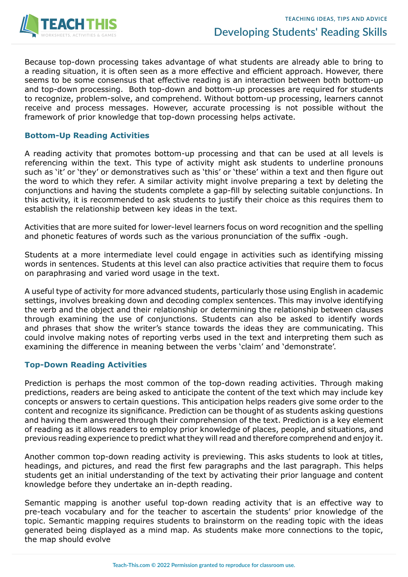

Because top-down processing takes advantage of what students are already able to bring to a reading situation, it is often seen as a more effective and efficient approach. However, there seems to be some consensus that effective reading is an interaction between both bottom-up and top-down processing. Both top-down and bottom-up processes are required for students to recognize, problem-solve, and comprehend. Without bottom-up processing, learners cannot receive and process messages. However, accurate processing is not possible without the framework of prior knowledge that top-down processing helps activate.

#### **Bottom-Up Reading Activities**

A reading activity that promotes bottom-up processing and that can be used at all levels is referencing within the text. This type of activity might ask students to underline pronouns such as 'it' or 'they' or demonstratives such as 'this' or 'these' within a text and then figure out the word to which they refer. A similar activity might involve preparing a text by deleting the conjunctions and having the students complete a gap-fill by selecting suitable conjunctions. In this activity, it is recommended to ask students to justify their choice as this requires them to establish the relationship between key ideas in the text.

Activities that are more suited for lower-level learners focus on word recognition and the spelling and phonetic features of words such as the various pronunciation of the suffix -ough.

Students at a more intermediate level could engage in activities such as identifying missing words in sentences. Students at this level can also practice activities that require them to focus on paraphrasing and varied word usage in the text.

A useful type of activity for more advanced students, particularly those using English in academic settings, involves breaking down and decoding complex sentences. This may involve identifying the verb and the object and their relationship or determining the relationship between clauses through examining the use of conjunctions. Students can also be asked to identify words and phrases that show the writer's stance towards the ideas they are communicating. This could involve making notes of reporting verbs used in the text and interpreting them such as examining the difference in meaning between the verbs 'claim' and 'demonstrate'.

#### **Top-Down Reading Activities**

Prediction is perhaps the most common of the top-down reading activities. Through making predictions, readers are being asked to anticipate the content of the text which may include key concepts or answers to certain questions. This anticipation helps readers give some order to the content and recognize its significance. Prediction can be thought of as students asking questions and having them answered through their comprehension of the text. Prediction is a key element of reading as it allows readers to employ prior knowledge of places, people, and situations, and previous reading experience to predict what they will read and therefore comprehend and enjoy it.

Another common top-down reading activity is previewing. This asks students to look at titles, headings, and pictures, and read the first few paragraphs and the last paragraph. This helps students get an initial understanding of the text by activating their prior language and content knowledge before they undertake an in-depth reading.

Semantic mapping is another useful top-down reading activity that is an effective way to pre-teach vocabulary and for the teacher to ascertain the students' prior knowledge of the topic. Semantic mapping requires students to brainstorm on the reading topic with the ideas generated being displayed as a mind map. As students make more connections to the topic, the map should evolve